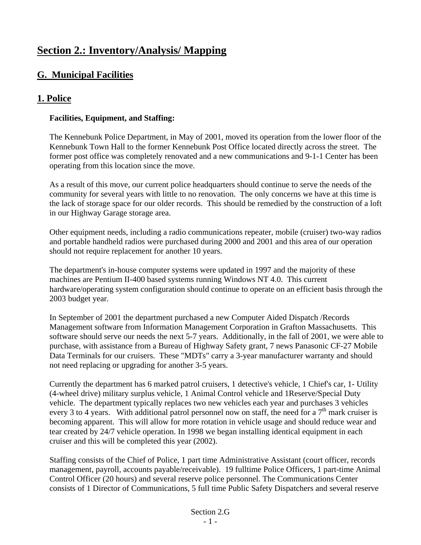# **Section 2.: Inventory/Analysis/ Mapping**

# **G. Municipal Facilities**

# **1. Police**

# **Facilities, Equipment, and Staffing:**

The Kennebunk Police Department, in May of 2001, moved its operation from the lower floor of the Kennebunk Town Hall to the former Kennebunk Post Office located directly across the street. The former post office was completely renovated and a new communications and 9-1-1 Center has been operating from this location since the move.

As a result of this move, our current police headquarters should continue to serve the needs of the community for several years with little to no renovation. The only concerns we have at this time is the lack of storage space for our older records. This should be remedied by the construction of a loft in our Highway Garage storage area.

Other equipment needs, including a radio communications repeater, mobile (cruiser) two-way radios and portable handheld radios were purchased during 2000 and 2001 and this area of our operation should not require replacement for another 10 years.

The department's in-house computer systems were updated in 1997 and the majority of these machines are Pentium II-400 based systems running Windows NT 4.0. This current hardware/operating system configuration should continue to operate on an efficient basis through the 2003 budget year.

In September of 2001 the department purchased a new Computer Aided Dispatch /Records Management software from Information Management Corporation in Grafton Massachusetts. This software should serve our needs the next 5-7 years. Additionally, in the fall of 2001, we were able to purchase, with assistance from a Bureau of Highway Safety grant, 7 news Panasonic CF-27 Mobile Data Terminals for our cruisers. These "MDTs" carry a 3-year manufacturer warranty and should not need replacing or upgrading for another 3-5 years.

Currently the department has 6 marked patrol cruisers, 1 detective's vehicle, 1 Chief's car, 1- Utility (4-wheel drive) military surplus vehicle, 1 Animal Control vehicle and 1Reserve/Special Duty vehicle. The department typically replaces two new vehicles each year and purchases 3 vehicles every 3 to 4 years. With additional patrol personnel now on staff, the need for a  $7<sup>th</sup>$  mark cruiser is becoming apparent. This will allow for more rotation in vehicle usage and should reduce wear and tear created by 24/7 vehicle operation. In 1998 we began installing identical equipment in each cruiser and this will be completed this year (2002).

Staffing consists of the Chief of Police, 1 part time Administrative Assistant (court officer, records management, payroll, accounts payable/receivable). 19 fulltime Police Officers, 1 part-time Animal Control Officer (20 hours) and several reserve police personnel. The Communications Center consists of 1 Director of Communications, 5 full time Public Safety Dispatchers and several reserve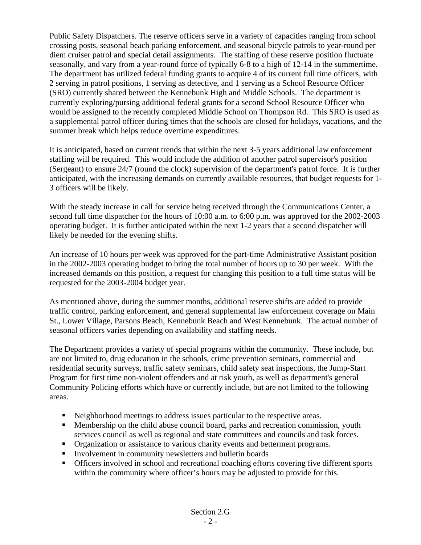Public Safety Dispatchers. The reserve officers serve in a variety of capacities ranging from school crossing posts, seasonal beach parking enforcement, and seasonal bicycle patrols to year-round per diem cruiser patrol and special detail assignments. The staffing of these reserve position fluctuate seasonally, and vary from a year-round force of typically 6-8 to a high of 12-14 in the summertime. The department has utilized federal funding grants to acquire 4 of its current full time officers, with 2 serving in patrol positions, 1 serving as detective, and 1 serving as a School Resource Officer (SRO) currently shared between the Kennebunk High and Middle Schools. The department is currently exploring/pursing additional federal grants for a second School Resource Officer who would be assigned to the recently completed Middle School on Thompson Rd. This SRO is used as a supplemental patrol officer during times that the schools are closed for holidays, vacations, and the summer break which helps reduce overtime expenditures.

It is anticipated, based on current trends that within the next 3-5 years additional law enforcement staffing will be required. This would include the addition of another patrol supervisor's position (Sergeant) to ensure 24/7 (round the clock) supervision of the department's patrol force. It is further anticipated, with the increasing demands on currently available resources, that budget requests for 1- 3 officers will be likely.

With the steady increase in call for service being received through the Communications Center, a second full time dispatcher for the hours of 10:00 a.m. to 6:00 p.m. was approved for the 2002-2003 operating budget. It is further anticipated within the next 1-2 years that a second dispatcher will likely be needed for the evening shifts.

An increase of 10 hours per week was approved for the part-time Administrative Assistant position in the 2002-2003 operating budget to bring the total number of hours up to 30 per week. With the increased demands on this position, a request for changing this position to a full time status will be requested for the 2003-2004 budget year.

As mentioned above, during the summer months, additional reserve shifts are added to provide traffic control, parking enforcement, and general supplemental law enforcement coverage on Main St., Lower Village, Parsons Beach, Kennebunk Beach and West Kennebunk. The actual number of seasonal officers varies depending on availability and staffing needs.

The Department provides a variety of special programs within the community. These include, but are not limited to, drug education in the schools, crime prevention seminars, commercial and residential security surveys, traffic safety seminars, child safety seat inspections, the Jump-Start Program for first time non-violent offenders and at risk youth, as well as department's general Community Policing efforts which have or currently include, but are not limited to the following areas.

- Neighborhood meetings to address issues particular to the respective areas.
- **Membership on the child abuse council board, parks and recreation commission, youth** services council as well as regional and state committees and councils and task forces.
- Organization or assistance to various charity events and betterment programs.
- Involvement in community newsletters and bulletin boards
- Officers involved in school and recreational coaching efforts covering five different sports within the community where officer's hours may be adjusted to provide for this.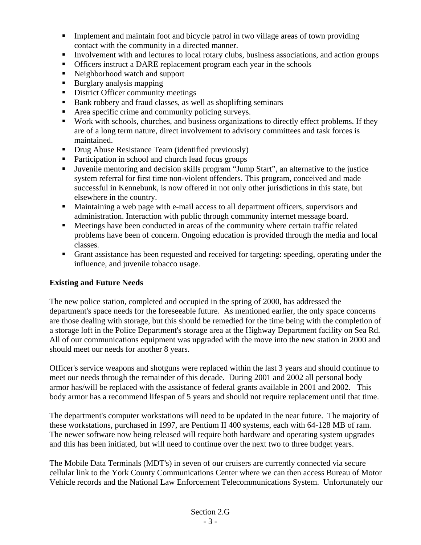- **IMPLEM** Implement and maintain foot and bicycle patrol in two village areas of town providing contact with the community in a directed manner.
- Involvement with and lectures to local rotary clubs, business associations, and action groups
- Officers instruct a DARE replacement program each year in the schools
- Neighborhood watch and support
- **Burglary analysis mapping**
- District Officer community meetings
- Bank robbery and fraud classes, as well as shoplifting seminars
- Area specific crime and community policing surveys.
- Work with schools, churches, and business organizations to directly effect problems. If they are of a long term nature, direct involvement to advisory committees and task forces is maintained.
- **Drug Abuse Resistance Team (identified previously)**
- Participation in school and church lead focus groups
- Juvenile mentoring and decision skills program "Jump Start", an alternative to the justice system referral for first time non-violent offenders. This program, conceived and made successful in Kennebunk, is now offered in not only other jurisdictions in this state, but elsewhere in the country.
- Maintaining a web page with e-mail access to all department officers, supervisors and administration. Interaction with public through community internet message board.
- Meetings have been conducted in areas of the community where certain traffic related problems have been of concern. Ongoing education is provided through the media and local classes.
- Grant assistance has been requested and received for targeting: speeding, operating under the influence, and juvenile tobacco usage.

# **Existing and Future Needs**

The new police station, completed and occupied in the spring of 2000, has addressed the department's space needs for the foreseeable future. As mentioned earlier, the only space concerns are those dealing with storage, but this should be remedied for the time being with the completion of a storage loft in the Police Department's storage area at the Highway Department facility on Sea Rd. All of our communications equipment was upgraded with the move into the new station in 2000 and should meet our needs for another 8 years.

Officer's service weapons and shotguns were replaced within the last 3 years and should continue to meet our needs through the remainder of this decade. During 2001 and 2002 all personal body armor has/will be replaced with the assistance of federal grants available in 2001 and 2002. This body armor has a recommend lifespan of 5 years and should not require replacement until that time.

The department's computer workstations will need to be updated in the near future. The majority of these workstations, purchased in 1997, are Pentium II 400 systems, each with 64-128 MB of ram. The newer software now being released will require both hardware and operating system upgrades and this has been initiated, but will need to continue over the next two to three budget years.

The Mobile Data Terminals (MDT's) in seven of our cruisers are currently connected via secure cellular link to the York County Communications Center where we can then access Bureau of Motor Vehicle records and the National Law Enforcement Telecommunications System. Unfortunately our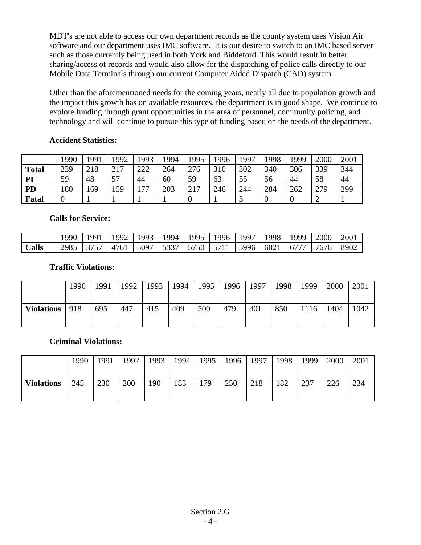MDT's are not able to access our own department records as the county system uses Vision Air software and our department uses IMC software. It is our desire to switch to an IMC based server such as those currently being used in both York and Biddeford. This would result in better sharing/access of records and would also allow for the dispatching of police calls directly to our Mobile Data Terminals through our current Computer Aided Dispatch (CAD) system.

Other than the aforementioned needs for the coming years, nearly all due to population growth and the impact this growth has on available resources, the department is in good shape. We continue to explore funding through grant opportunities in the area of personnel, community policing, and technology and will continue to pursue this type of funding based on the needs of the department.

# **Accident Statistics:**

|              | 1990 | 1991 | .992             | 1993           | 994 | 1995 | .996 | 997 | 1998 | 1999 | 2000 | 2001 |
|--------------|------|------|------------------|----------------|-----|------|------|-----|------|------|------|------|
| <b>Total</b> | 239  | 218  | 217<br><u> 1</u> | າາາ<br>∠∠∠     | 264 | 276  | 310  | 302 | 340  | 306  | 339  | 344  |
| PI           | 59   | 48   | cπ<br>، ر        | 44             | 60  | 59   | 63   | 55  | 56   | 44   | 58   | 44   |
| PD           | 180  | 169  | 159              | $\overline{a}$ | 203 | 217  | 246  | 244 | 284  | 262  | 279  | 299  |
| <b>Fatal</b> | ν    |      |                  |                |     |      |      |     |      |      |      |      |

#### **Calls for Service:**

|       | 990  | QQ1  | 992  | 1993 | 1994 | 1995      | 1996 | 1997 | 1998 | 999  | 2000 | 2001 |
|-------|------|------|------|------|------|-----------|------|------|------|------|------|------|
| Calls | 2985 | 3757 | 4761 | 5097 | 5337 | 5750 5711 |      | 5996 | 6021 | 6777 | 7676 | 8902 |

#### **Traffic Violations:**

|                   | 1990 | 1991 | 1992 | 1993 | 1994 | 1995 | 1996 | 1997 | 1998 | 1999 | 2000 | 2001 |
|-------------------|------|------|------|------|------|------|------|------|------|------|------|------|
| <b>Violations</b> | 918  | 695  | 447  | 415  | 409  | 500  | 479  | 401  | 850  | .116 | 1404 | 1042 |

#### **Criminal Violations:**

|                   | 1990 | 1991 | 1992 | 1993 | 1994 | 1995 | 1996 | 1997 | 1998 | 1999 | 2000 | 2001 |
|-------------------|------|------|------|------|------|------|------|------|------|------|------|------|
| <b>Violations</b> | 245  | 230  | 200  | 190  | 183  | 179  | 250  | 218  | 182  | 237  | 226  | 234  |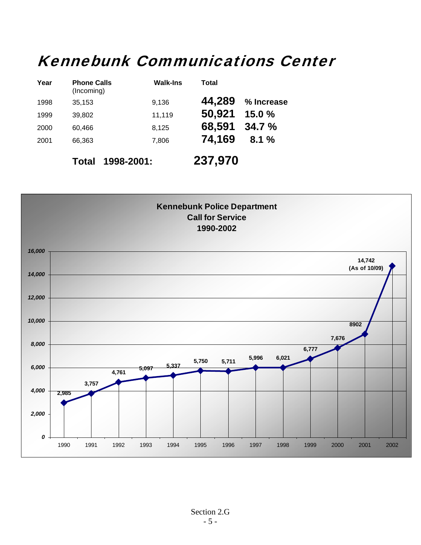# Kennebunk Communications Center

| Year | <b>Phone Calls</b><br>(Incoming) | <b>Walk-Ins</b> | Total   |            |
|------|----------------------------------|-----------------|---------|------------|
| 1998 | 35,153                           | 9,136           | 44,289  | % Increase |
| 1999 | 39,802                           | 11,119          | 50,921  | 15.0%      |
| 2000 | 60,466                           | 8,125           | 68,591  | 34.7%      |
| 2001 | 66,363                           | 7,806           | 74,169  | 8.1%       |
|      | Total                            | 1998-2001:      | 237,970 |            |

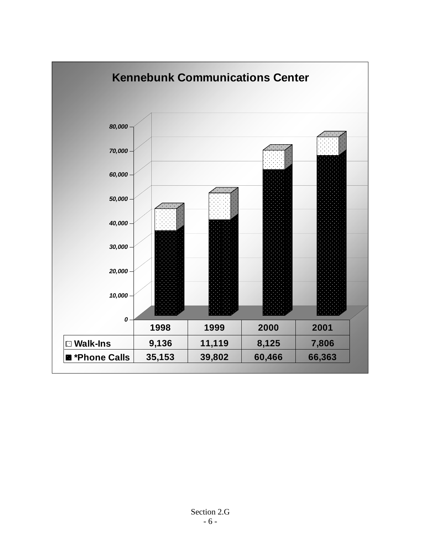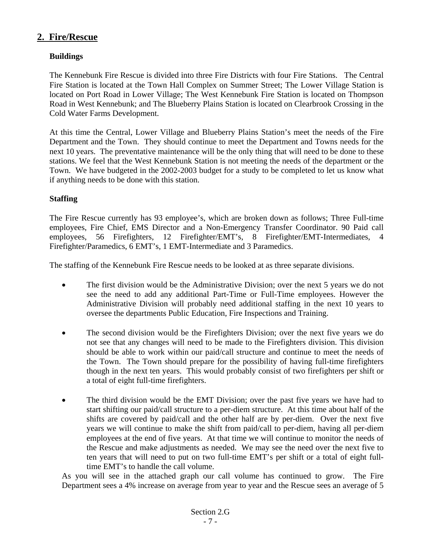# **2. Fire/Rescue**

# **Buildings**

The Kennebunk Fire Rescue is divided into three Fire Districts with four Fire Stations. The Central Fire Station is located at the Town Hall Complex on Summer Street; The Lower Village Station is located on Port Road in Lower Village; The West Kennebunk Fire Station is located on Thompson Road in West Kennebunk; and The Blueberry Plains Station is located on Clearbrook Crossing in the Cold Water Farms Development.

At this time the Central, Lower Village and Blueberry Plains Station's meet the needs of the Fire Department and the Town. They should continue to meet the Department and Towns needs for the next 10 years. The preventative maintenance will be the only thing that will need to be done to these stations. We feel that the West Kennebunk Station is not meeting the needs of the department or the Town. We have budgeted in the 2002-2003 budget for a study to be completed to let us know what if anything needs to be done with this station.

# **Staffing**

The Fire Rescue currently has 93 employee's, which are broken down as follows; Three Full-time employees, Fire Chief, EMS Director and a Non-Emergency Transfer Coordinator. 90 Paid call employees, 56 Firefighters, 12 Firefighter/EMT's, 8 Firefighter/EMT-Intermediates, 4 Firefighter/Paramedics, 6 EMT's, 1 EMT-Intermediate and 3 Paramedics.

The staffing of the Kennebunk Fire Rescue needs to be looked at as three separate divisions.

- The first division would be the Administrative Division; over the next 5 years we do not see the need to add any additional Part-Time or Full-Time employees. However the Administrative Division will probably need additional staffing in the next 10 years to oversee the departments Public Education, Fire Inspections and Training.
- The second division would be the Firefighters Division; over the next five years we do not see that any changes will need to be made to the Firefighters division. This division should be able to work within our paid/call structure and continue to meet the needs of the Town. The Town should prepare for the possibility of having full-time firefighters though in the next ten years. This would probably consist of two firefighters per shift or a total of eight full-time firefighters.
- The third division would be the EMT Division; over the past five years we have had to start shifting our paid/call structure to a per-diem structure. At this time about half of the shifts are covered by paid/call and the other half are by per-diem. Over the next five years we will continue to make the shift from paid/call to per-diem, having all per-diem employees at the end of five years. At that time we will continue to monitor the needs of the Rescue and make adjustments as needed. We may see the need over the next five to ten years that will need to put on two full-time EMT's per shift or a total of eight fulltime EMT's to handle the call volume.

As you will see in the attached graph our call volume has continued to grow. The Fire Department sees a 4% increase on average from year to year and the Rescue sees an average of 5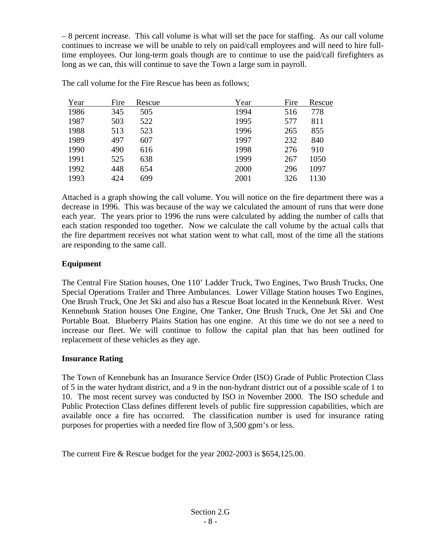– 8 percent increase. This call volume is what will set the pace for staffing. As our call volume continues to increase we will be unable to rely on paid/call employees and will need to hire fulltime employees. Our long-term goals though are to continue to use the paid/call firefighters as long as we can, this will continue to save the Town a large sum in payroll.

| Year | Fire | Rescue | Year | Fire | Rescue |
|------|------|--------|------|------|--------|
| 1986 | 345  | 505    | 1994 | 516  | 778    |
| 1987 | 503  | 522    | 1995 | 577  | 811    |
| 1988 | 513  | 523    | 1996 | 265  | 855    |
| 1989 | 497  | 607    | 1997 | 232  | 840    |
| 1990 | 490  | 616    | 1998 | 276  | 910    |
| 1991 | 525  | 638    | 1999 | 267  | 1050   |
| 1992 | 448  | 654    | 2000 | 296  | 1097   |
| 1993 | 424  | 699    | 2001 | 326  | 1130   |

The call volume for the Fire Rescue has been as follows;

Attached is a graph showing the call volume. You will notice on the fire department there was a decrease in 1996. This was because of the way we calculated the amount of runs that were done each year. The years prior to 1996 the runs were calculated by adding the number of calls that each station responded too together. Now we calculate the call volume by the actual calls that the fire department receives not what station went to what call, most of the time all the stations are responding to the same call.

#### **Equipment**

The Central Fire Station houses, One 110' Ladder Truck, Two Engines, Two Brush Trucks, One Special Operations Trailer and Three Ambulances. Lower Village Station houses Two Engines, One Brush Truck, One Jet Ski and also has a Rescue Boat located in the Kennebunk River. West Kennebunk Station houses One Engine, One Tanker, One Brush Truck, One Jet Ski and One Portable Boat. Blueberry Plains Station has one engine. At this time we do not see a need to increase our fleet. We will continue to follow the capital plan that has been outlined for replacement of these vehicles as they age.

#### **Insurance Rating**

The Town of Kennebunk has an Insurance Service Order (ISO) Grade of Public Protection Class of 5 in the water hydrant district, and a 9 in the non-hydrant district out of a possible scale of 1 to 10. The most recent survey was conducted by ISO in November 2000. The ISO schedule and Public Protection Class defines different levels of public fire suppression capabilities, which are available once a fire has occurred. The classification number is used for insurance rating purposes for properties with a needed fire flow of 3,500 gpm's or less.

The current Fire & Rescue budget for the year 2002-2003 is \$654,125.00.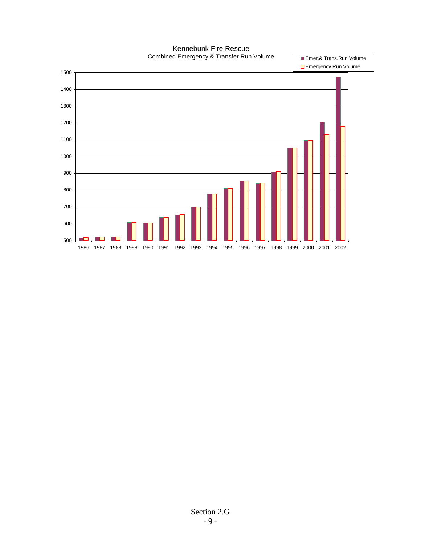Kennebunk Fire Rescue Combined Emergency & Transfer Run Volume

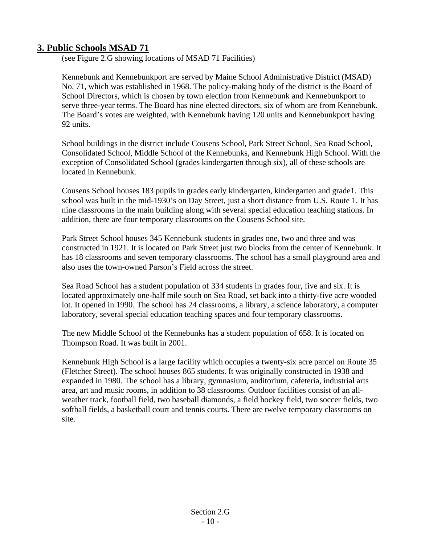# **3. Public Schools MSAD 71**

(see Figure 2.G showing locations of MSAD 71 Facilities)

Kennebunk and Kennebunkport are served by Maine School Administrative District (MSAD) No. 71, which was established in 1968. The policy-making body of the district is the Board of School Directors, which is chosen by town election from Kennebunk and Kennebunkport to serve three-year terms. The Board has nine elected directors, six of whom are from Kennebunk. The Board's votes are weighted, with Kennebunk having 120 units and Kennebunkport having 92 units.

School buildings in the district include Cousens School, Park Street School, Sea Road School, Consolidated School, Middle School of the Kennebunks, and Kennebunk High School. With the exception of Consolidated School (grades kindergarten through six), all of these schools are located in Kennebunk.

Cousens School houses 183 pupils in grades early kindergarten, kindergarten and grade1. This school was built in the mid-1930's on Day Street, just a short distance from U.S. Route 1. It has nine classrooms in the main building along with several special education teaching stations. In addition, there are four temporary classrooms on the Cousens School site.

Park Street School houses 345 Kennebunk students in grades one, two and three and was constructed in 1921. It is located on Park Street just two blocks from the center of Kennebunk. It has 18 classrooms and seven temporary classrooms. The school has a small playground area and also uses the town-owned Parson's Field across the street.

Sea Road School has a student population of 334 students in grades four, five and six. It is located approximately one-half mile south on Sea Road, set back into a thirty-five acre wooded lot. It opened in 1990. The school has 24 classrooms, a library, a science laboratory, a computer laboratory, several special education teaching spaces and four temporary classrooms.

The new Middle School of the Kennebunks has a student population of 658. It is located on Thompson Road. It was built in 2001.

Kennebunk High School is a large facility which occupies a twenty-six acre parcel on Route 35 (Fletcher Street). The school houses 865 students. It was originally constructed in 1938 and expanded in 1980. The school has a library, gymnasium, auditorium, cafeteria, industrial arts area, art and music rooms, in addition to 38 classrooms. Outdoor facilities consist of an allweather track, football field, two baseball diamonds, a field hockey field, two soccer fields, two softball fields, a basketball court and tennis courts. There are twelve temporary classrooms on site.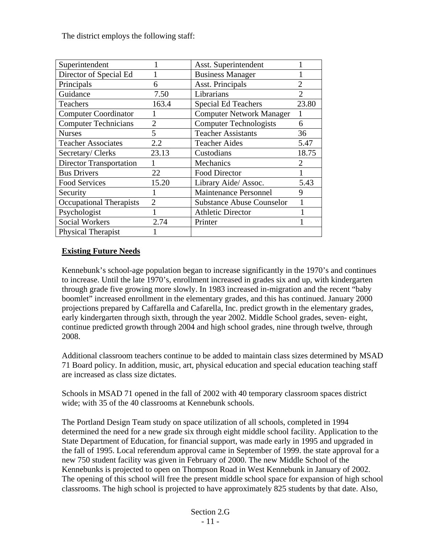The district employs the following staff:

| Superintendent                 |                | Asst. Superintendent             |                |
|--------------------------------|----------------|----------------------------------|----------------|
| Director of Special Ed         |                | <b>Business Manager</b>          |                |
| Principals                     | 6              | Asst. Principals                 | $\overline{2}$ |
| Guidance                       | 7.50           | Librarians                       | $\mathfrak{D}$ |
| Teachers                       | 163.4          | <b>Special Ed Teachers</b>       | 23.80          |
| <b>Computer Coordinator</b>    |                | <b>Computer Network Manager</b>  | 1              |
| <b>Computer Technicians</b>    | $\overline{2}$ | <b>Computer Technologists</b>    | 6              |
| <b>Nurses</b>                  | 5              | <b>Teacher Assistants</b>        | 36             |
| <b>Teacher Associates</b>      | 2.2            | <b>Teacher Aides</b>             | 5.47           |
| Secretary/Clerks               | 23.13          | Custodians                       | 18.75          |
| <b>Director Transportation</b> |                | Mechanics                        | $\overline{2}$ |
| <b>Bus Drivers</b>             | 22             | <b>Food Director</b>             |                |
| <b>Food Services</b>           | 15.20          | Library Aide/ Assoc.             | 5.43           |
| Security                       |                | <b>Maintenance Personnel</b>     | 9              |
| <b>Occupational Therapists</b> | $\overline{2}$ | <b>Substance Abuse Counselor</b> |                |
| Psychologist                   |                | <b>Athletic Director</b>         |                |
| <b>Social Workers</b>          | 2.74           | Printer                          |                |
| Physical Therapist             |                |                                  |                |

# **Existing Future Needs**

Kennebunk's school-age population began to increase significantly in the 1970's and continues to increase. Until the late 1970's, enrollment increased in grades six and up, with kindergarten through grade five growing more slowly. In 1983 increased in-migration and the recent "baby boomlet" increased enrollment in the elementary grades, and this has continued. January 2000 projections prepared by Caffarella and Cafarella, Inc. predict growth in the elementary grades, early kindergarten through sixth, through the year 2002. Middle School grades, seven- eight, continue predicted growth through 2004 and high school grades, nine through twelve, through 2008.

Additional classroom teachers continue to be added to maintain class sizes determined by MSAD 71 Board policy. In addition, music, art, physical education and special education teaching staff are increased as class size dictates.

Schools in MSAD 71 opened in the fall of 2002 with 40 temporary classroom spaces district wide; with 35 of the 40 classrooms at Kennebunk schools.

The Portland Design Team study on space utilization of all schools, completed in 1994 determined the need for a new grade six through eight middle school facility. Application to the State Department of Education, for financial support, was made early in 1995 and upgraded in the fall of 1995. Local referendum approval came in September of 1999. the state approval for a new 750 student facility was given in February of 2000. The new Middle School of the Kennebunks is projected to open on Thompson Road in West Kennebunk in January of 2002. The opening of this school will free the present middle school space for expansion of high school classrooms. The high school is projected to have approximately 825 students by that date. Also,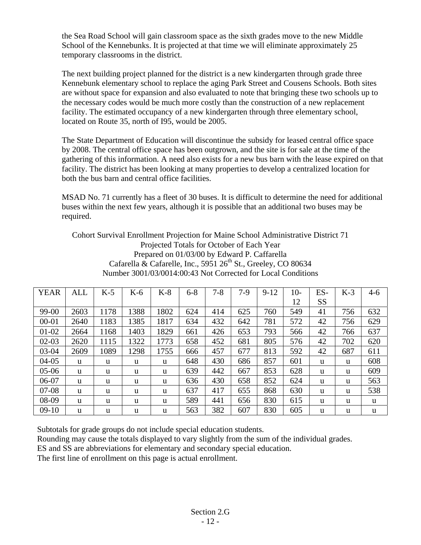the Sea Road School will gain classroom space as the sixth grades move to the new Middle School of the Kennebunks. It is projected at that time we will eliminate approximately 25 temporary classrooms in the district.

The next building project planned for the district is a new kindergarten through grade three Kennebunk elementary school to replace the aging Park Street and Cousens Schools. Both sites are without space for expansion and also evaluated to note that bringing these two schools up to the necessary codes would be much more costly than the construction of a new replacement facility. The estimated occupancy of a new kindergarten through three elementary school, located on Route 35, north of I95, would be 2005.

The State Department of Education will discontinue the subsidy for leased central office space by 2008. The central office space has been outgrown, and the site is for sale at the time of the gathering of this information. A need also exists for a new bus barn with the lease expired on that facility. The district has been looking at many properties to develop a centralized location for both the bus barn and central office facilities.

MSAD No. 71 currently has a fleet of 30 buses. It is difficult to determine the need for additional buses within the next few years, although it is possible that an additional two buses may be required.

Cohort Survival Enrollment Projection for Maine School Administrative District 71 Projected Totals for October of Each Year Prepared on 01/03/00 by Edward P. Caffarella Cafarella & Cafarelle, Inc.,  $5951 26^{th}$  St., Greeley, CO 80634 Number 3001/03/0014:00:43 Not Corrected for Local Conditions

| <b>YEAR</b> | <b>ALL</b>   | $K-5$ | $K-6$ | $K-8$ | $6 - 8$ | $7 - 8$ | $7-9$ | $9 - 12$ | $10-$ | ES-       | $K-3$ | $4-6$ |
|-------------|--------------|-------|-------|-------|---------|---------|-------|----------|-------|-----------|-------|-------|
|             |              |       |       |       |         |         |       |          | 12    | <b>SS</b> |       |       |
| 99-00       | 2603         | 1178  | 1388  | 1802  | 624     | 414     | 625   | 760      | 549   | 41        | 756   | 632   |
| $00 - 01$   | 2640         | 1183  | 1385  | 1817  | 634     | 432     | 642   | 781      | 572   | 42        | 756   | 629   |
| $01-02$     | 2664         | 1168  | 1403  | 1829  | 661     | 426     | 653   | 793      | 566   | 42        | 766   | 637   |
| $02-03$     | 2620         | 1115  | 1322  | 1773  | 658     | 452     | 681   | 805      | 576   | 42        | 702   | 620   |
| $03-04$     | 2609         | 1089  | 1298  | 1755  | 666     | 457     | 677   | 813      | 592   | 42        | 687   | 611   |
| $04 - 05$   | u            | u     | u     | u     | 648     | 430     | 686   | 857      | 601   | u         | u     | 608   |
| $05-06$     | u            | u     | u     | u     | 639     | 442     | 667   | 853      | 628   | u         | u     | 609   |
| 06-07       | u            | u     | u     | u     | 636     | 430     | 658   | 852      | 624   | u         | u     | 563   |
| $07-08$     | u            | u     | u     | u     | 637     | 417     | 655   | 868      | 630   | u         | u     | 538   |
| 08-09       | <sub>u</sub> | u     | u     | u     | 589     | 441     | 656   | 830      | 615   | u         | u     | u     |
| $09-10$     | u            | u     | u     | u     | 563     | 382     | 607   | 830      | 605   | u         | u     | u     |

Subtotals for grade groups do not include special education students.

Rounding may cause the totals displayed to vary slightly from the sum of the individual grades.

ES and SS are abbreviations for elementary and secondary special education.

The first line of enrollment on this page is actual enrollment.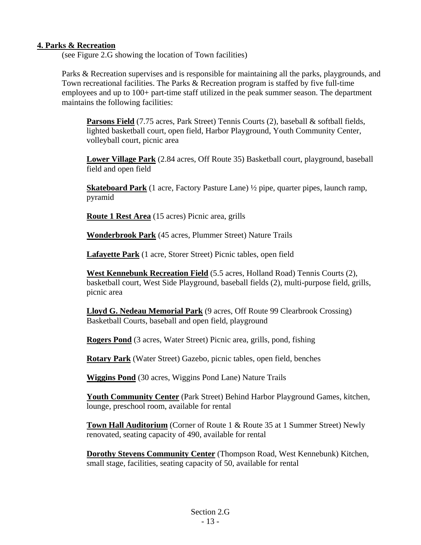# **4. Parks & Recreation**

(see Figure 2.G showing the location of Town facilities)

Parks & Recreation supervises and is responsible for maintaining all the parks, playgrounds, and Town recreational facilities. The Parks & Recreation program is staffed by five full-time employees and up to 100+ part-time staff utilized in the peak summer season. The department maintains the following facilities:

**Parsons Field** (7.75 acres, Park Street) Tennis Courts (2), baseball & softball fields, lighted basketball court, open field, Harbor Playground, Youth Community Center, volleyball court, picnic area

**Lower Village Park** (2.84 acres, Off Route 35) Basketball court, playground, baseball field and open field

**Skateboard Park** (1 acre, Factory Pasture Lane) ½ pipe, quarter pipes, launch ramp, pyramid

**Route 1 Rest Area** (15 acres) Picnic area, grills

**Wonderbrook Park** (45 acres, Plummer Street) Nature Trails

**Lafayette Park** (1 acre, Storer Street) Picnic tables, open field

**West Kennebunk Recreation Field** (5.5 acres, Holland Road) Tennis Courts (2), basketball court, West Side Playground, baseball fields (2), multi-purpose field, grills, picnic area

**Lloyd G. Nedeau Memorial Park** (9 acres, Off Route 99 Clearbrook Crossing) Basketball Courts, baseball and open field, playground

**Rogers Pond** (3 acres, Water Street) Picnic area, grills, pond, fishing

**Rotary Park** (Water Street) Gazebo, picnic tables, open field, benches

**Wiggins Pond** (30 acres, Wiggins Pond Lane) Nature Trails

**Youth Community Center** (Park Street) Behind Harbor Playground Games, kitchen, lounge, preschool room, available for rental

**Town Hall Auditorium** (Corner of Route 1 & Route 35 at 1 Summer Street) Newly renovated, seating capacity of 490, available for rental

**Dorothy Stevens Community Center** (Thompson Road, West Kennebunk) Kitchen, small stage, facilities, seating capacity of 50, available for rental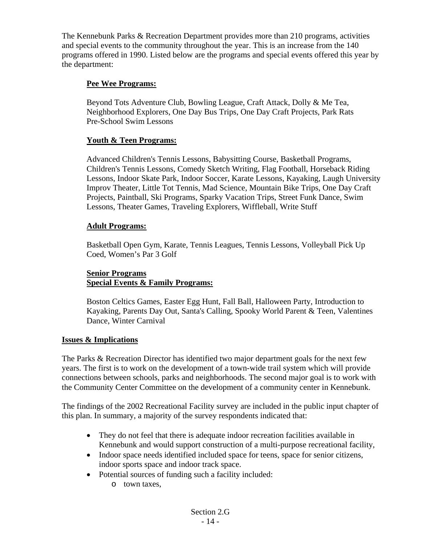The Kennebunk Parks & Recreation Department provides more than 210 programs, activities and special events to the community throughout the year. This is an increase from the 140 programs offered in 1990. Listed below are the programs and special events offered this year by the department:

# **Pee Wee Programs:**

Beyond Tots Adventure Club, Bowling League, Craft Attack, Dolly & Me Tea, Neighborhood Explorers, One Day Bus Trips, One Day Craft Projects, Park Rats Pre-School Swim Lessons

# **Youth & Teen Programs:**

Advanced Children's Tennis Lessons, Babysitting Course, Basketball Programs, Children's Tennis Lessons, Comedy Sketch Writing, Flag Football, Horseback Riding Lessons, Indoor Skate Park, Indoor Soccer, Karate Lessons, Kayaking, Laugh University Improv Theater, Little Tot Tennis, Mad Science, Mountain Bike Trips, One Day Craft Projects, Paintball, Ski Programs, Sparky Vacation Trips, Street Funk Dance, Swim Lessons, Theater Games, Traveling Explorers, Wiffleball, Write Stuff

#### **Adult Programs:**

Basketball Open Gym, Karate, Tennis Leagues, Tennis Lessons, Volleyball Pick Up Coed, Women's Par 3 Golf

# **Senior Programs Special Events & Family Programs:**

Boston Celtics Games, Easter Egg Hunt, Fall Ball, Halloween Party, Introduction to Kayaking, Parents Day Out, Santa's Calling, Spooky World Parent & Teen, Valentines Dance, Winter Carnival

#### **Issues & Implications**

The Parks & Recreation Director has identified two major department goals for the next few years. The first is to work on the development of a town-wide trail system which will provide connections between schools, parks and neighborhoods. The second major goal is to work with the Community Center Committee on the development of a community center in Kennebunk.

The findings of the 2002 Recreational Facility survey are included in the public input chapter of this plan. In summary, a majority of the survey respondents indicated that:

- They do not feel that there is adequate indoor recreation facilities available in Kennebunk and would support construction of a multi-purpose recreational facility,
- Indoor space needs identified included space for teens, space for senior citizens, indoor sports space and indoor track space.
- Potential sources of funding such a facility included:
	- o town taxes,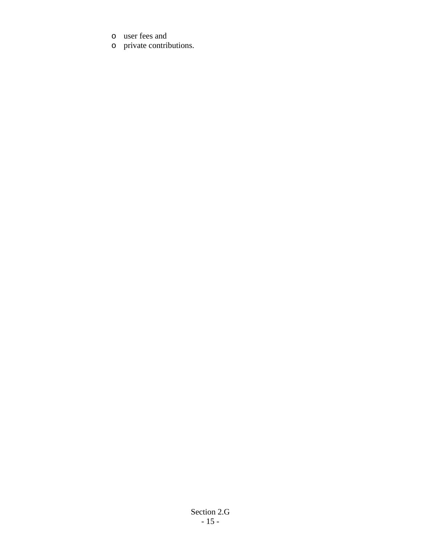- o user fees and
- o private contributions.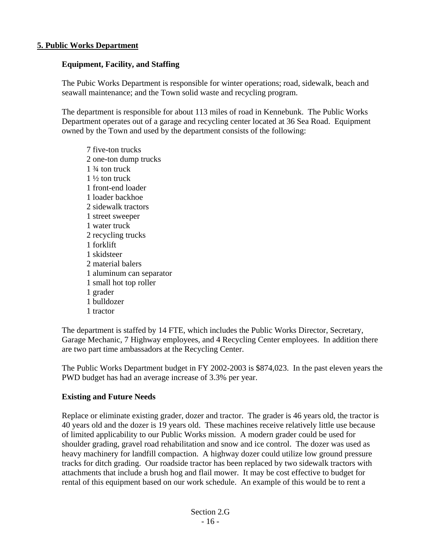#### **5. Public Works Department**

#### **Equipment, Facility, and Staffing**

The Pubic Works Department is responsible for winter operations; road, sidewalk, beach and seawall maintenance; and the Town solid waste and recycling program.

The department is responsible for about 113 miles of road in Kennebunk. The Public Works Department operates out of a garage and recycling center located at 36 Sea Road. Equipment owned by the Town and used by the department consists of the following:

7 five-ton trucks 2 one-ton dump trucks 1 ¾ ton truck  $1\frac{1}{2}$  ton truck 1 front-end loader 1 loader backhoe 2 sidewalk tractors 1 street sweeper 1 water truck 2 recycling trucks 1 forklift 1 skidsteer 2 material balers 1 aluminum can separator 1 small hot top roller 1 grader 1 bulldozer 1 tractor

The department is staffed by 14 FTE, which includes the Public Works Director, Secretary, Garage Mechanic, 7 Highway employees, and 4 Recycling Center employees. In addition there are two part time ambassadors at the Recycling Center.

The Public Works Department budget in FY 2002-2003 is \$874,023. In the past eleven years the PWD budget has had an average increase of 3.3% per year.

#### **Existing and Future Needs**

Replace or eliminate existing grader, dozer and tractor. The grader is 46 years old, the tractor is 40 years old and the dozer is 19 years old. These machines receive relatively little use because of limited applicability to our Public Works mission. A modern grader could be used for shoulder grading, gravel road rehabilitation and snow and ice control. The dozer was used as heavy machinery for landfill compaction. A highway dozer could utilize low ground pressure tracks for ditch grading. Our roadside tractor has been replaced by two sidewalk tractors with attachments that include a brush hog and flail mower. It may be cost effective to budget for rental of this equipment based on our work schedule. An example of this would be to rent a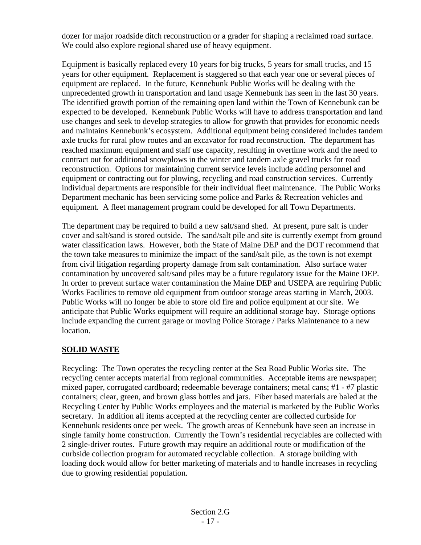dozer for major roadside ditch reconstruction or a grader for shaping a reclaimed road surface. We could also explore regional shared use of heavy equipment.

Equipment is basically replaced every 10 years for big trucks, 5 years for small trucks, and 15 years for other equipment. Replacement is staggered so that each year one or several pieces of equipment are replaced. In the future, Kennebunk Public Works will be dealing with the unprecedented growth in transportation and land usage Kennebunk has seen in the last 30 years. The identified growth portion of the remaining open land within the Town of Kennebunk can be expected to be developed. Kennebunk Public Works will have to address transportation and land use changes and seek to develop strategies to allow for growth that provides for economic needs and maintains Kennebunk's ecosystem. Additional equipment being considered includes tandem axle trucks for rural plow routes and an excavator for road reconstruction. The department has reached maximum equipment and staff use capacity, resulting in overtime work and the need to contract out for additional snowplows in the winter and tandem axle gravel trucks for road reconstruction. Options for maintaining current service levels include adding personnel and equipment or contracting out for plowing, recycling and road construction services. Currently individual departments are responsible for their individual fleet maintenance. The Public Works Department mechanic has been servicing some police and Parks & Recreation vehicles and equipment. A fleet management program could be developed for all Town Departments.

The department may be required to build a new salt/sand shed. At present, pure salt is under cover and salt/sand is stored outside. The sand/salt pile and site is currently exempt from ground water classification laws. However, both the State of Maine DEP and the DOT recommend that the town take measures to minimize the impact of the sand/salt pile, as the town is not exempt from civil litigation regarding property damage from salt contamination. Also surface water contamination by uncovered salt/sand piles may be a future regulatory issue for the Maine DEP. In order to prevent surface water contamination the Maine DEP and USEPA are requiring Public Works Facilities to remove old equipment from outdoor storage areas starting in March, 2003. Public Works will no longer be able to store old fire and police equipment at our site. We anticipate that Public Works equipment will require an additional storage bay. Storage options include expanding the current garage or moving Police Storage / Parks Maintenance to a new location.

# **SOLID WASTE**

Recycling: The Town operates the recycling center at the Sea Road Public Works site. The recycling center accepts material from regional communities. Acceptable items are newspaper; mixed paper, corrugated cardboard; redeemable beverage containers; metal cans; #1 - #7 plastic containers; clear, green, and brown glass bottles and jars. Fiber based materials are baled at the Recycling Center by Public Works employees and the material is marketed by the Public Works secretary. In addition all items accepted at the recycling center are collected curbside for Kennebunk residents once per week. The growth areas of Kennebunk have seen an increase in single family home construction. Currently the Town's residential recyclables are collected with 2 single-driver routes. Future growth may require an additional route or modification of the curbside collection program for automated recyclable collection. A storage building with loading dock would allow for better marketing of materials and to handle increases in recycling due to growing residential population.